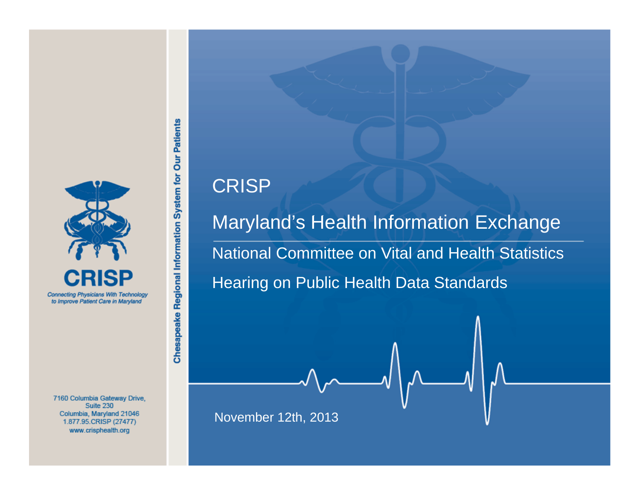

7160 Columbia Gateway Drive, Suite 230 Columbia, Maryland 21046 1.877.95.CRISP (27477) www.crisphealth.org

### CRISP

Chesapeake Regional Information System for Our Patients

Maryland's Health Information Exchange National Committee on Vital and Health Statistics Hearing on Public Health Data Standards

November 12th, 2013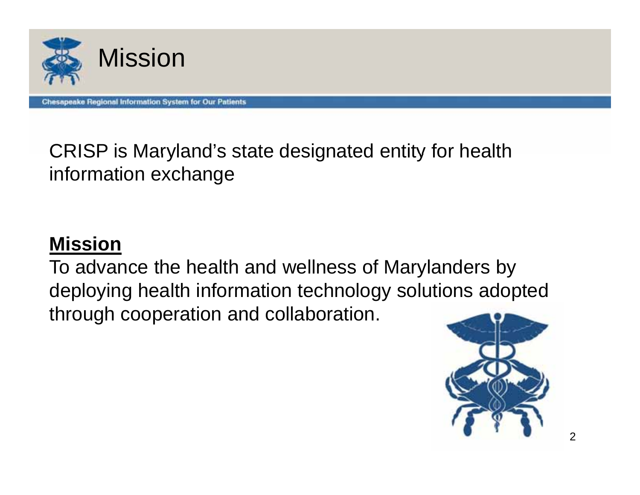

CRISP is Maryland's state designated entity for health information exchange

### **Mission**

To advance the health and wellness of Marylanders by deploying health information technology solutions adopted through cooperation and collaboration.

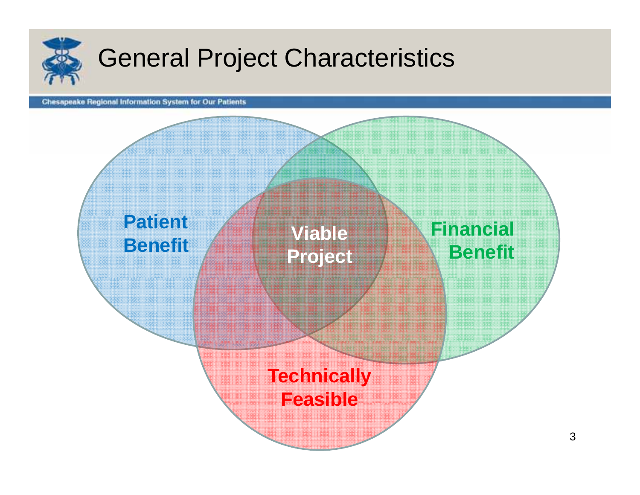

## General Project Characteristics

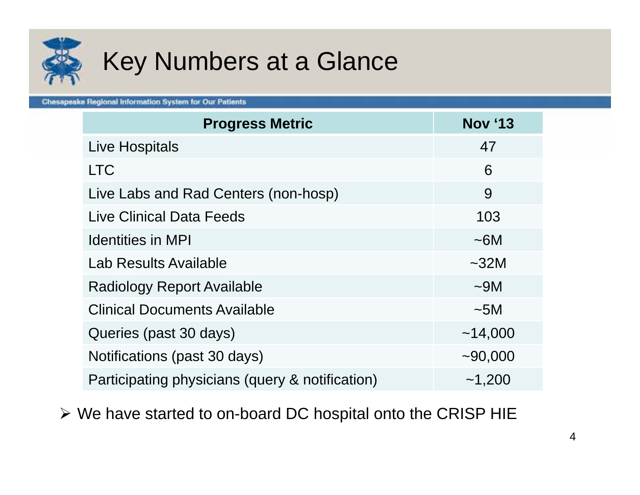

## Key Numbers at a Glance

**Chesapeake Regional Information System for Our Patients** 

| <b>Progress Metric</b>                          | <b>Nov '13</b> |
|-------------------------------------------------|----------------|
| <b>Live Hospitals</b>                           | 47             |
| <b>LTC</b>                                      | 6              |
| Live Labs and Rad Centers (non-hosp)            | 9              |
| <b>Live Clinical Data Feeds</b>                 | 103            |
| <b>Identities in MPI</b>                        | ~16M           |
| Lab Results Available                           | $\sim$ 32M     |
| <b>Radiology Report Available</b>               | $\sim$ 9M      |
| <b>Clinical Documents Available</b>             | $\sim$ 5M      |
| Queries (past 30 days)                          | ~14,000        |
| Notifications (past 30 days)                    | ~100,000       |
| Participating physicians (query & notification) | ~1,200         |

We have started to on-board DC hospital onto the CRISP HIE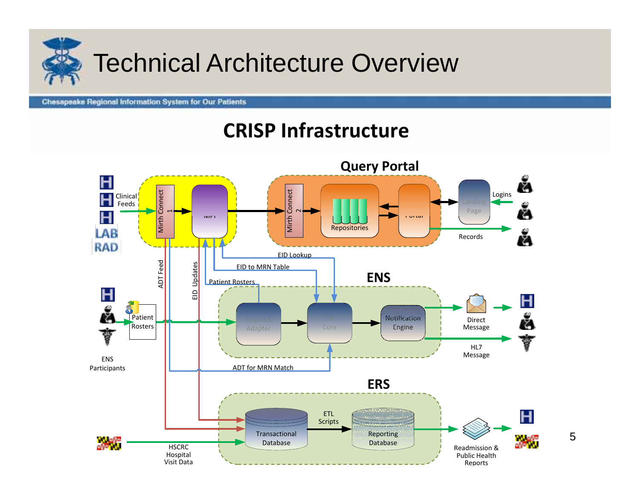

### **CRISP Infrastructure**

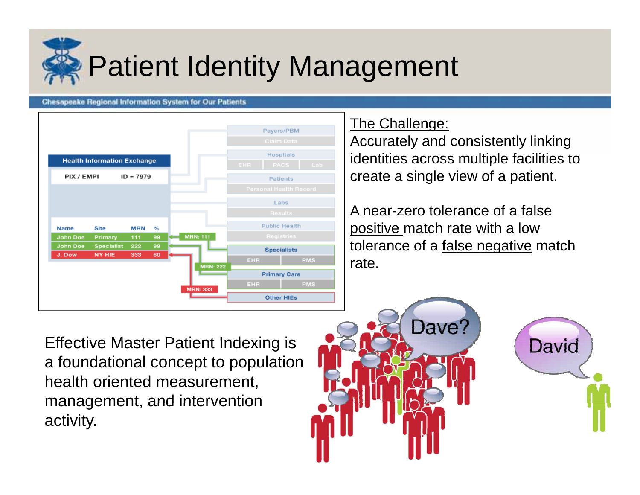

# Patient Identity Management

### **Chesapeake Regional Information System for Our Patients**



### The Challenge:

Accurately and consistently linking identities across multiple facilities to create a single view of a patient.

A near-zero tolerance of a false positive match rate with a low tolerance of a false negative match rate.

**Effective Master Patient Indexing is** a foundational concept to population health oriented measurement, management, and intervention activity.



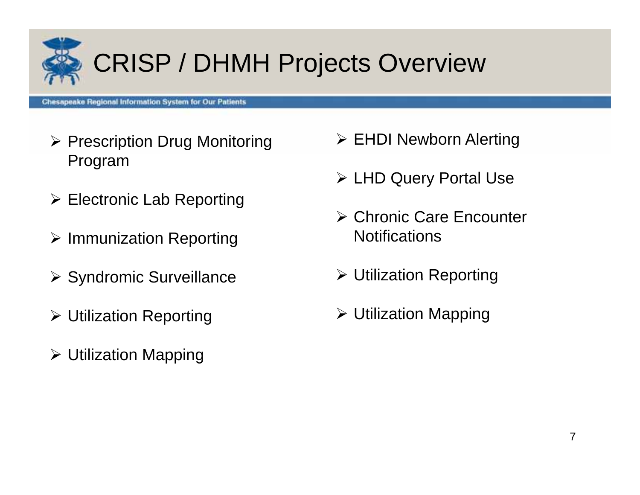

# CRISP / DHMH Projects Overview

- $\triangleright$  Prescription Drug Monitoring Program
- $\triangleright$  Electronic Lab Reporting
- $\triangleright$  Immunization Reporting
- $\triangleright$  Syndromic Surveillance
- Utilization Reporting
- Utilization Mapping
- **≻ EHDI Newborn Alerting**
- LHD Query Portal Use
- Chronic Care Encounter Notifications
- Utilization Reporting
	- Utilization Mapping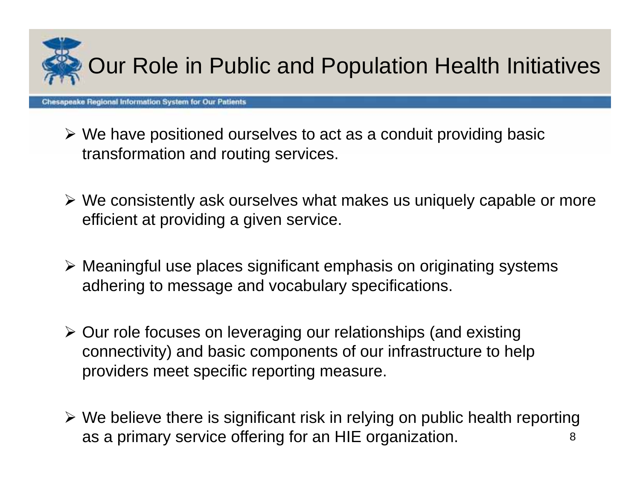

- We have positioned ourselves to act as a conduit providing basic transformation and routing services.
- We consistently ask ourselves what makes us uniquely capable or more efficient at providing a given service.
- Meaningful use places significant emphasis on originating systems adhering to message and vocabulary specifications.
- > Our role focuses on leveraging our relationships (and existing connectivity) and basic components of our infrastructure to help providers meet specific reporting measure.
- 8 We believe there is significant risk in relying on public health reporting as a primary service offering for an HIE organization.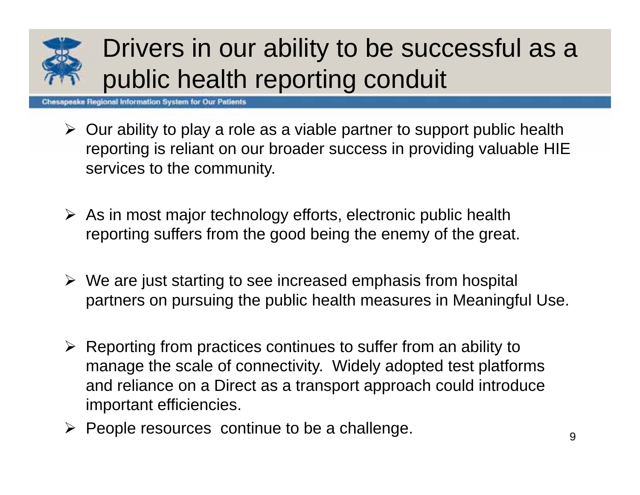

## Drivers in our ability to be successful as a public health reporting conduit

- $\triangleright$  Our ability to play a role as a viable partner to support public health reporting is reliant on our broader success in providing valuable HIE services to the community.
- $\triangleright$  As in most major technology efforts, electronic public health reporting suffers from the good being the enemy of the great.
- $\triangleright$  We are just starting to see increased emphasis from hospital partners on pursuing the public health measures in Meaningful Use.
- $\triangleright$  Reporting from practices continues to suffer from an ability to manage the scale of connectivity. Widely adopted test platforms and reliance on a Direct as a transport approach could introduce important efficiencies.
- $\triangleright$  People resources continue to be a challenge.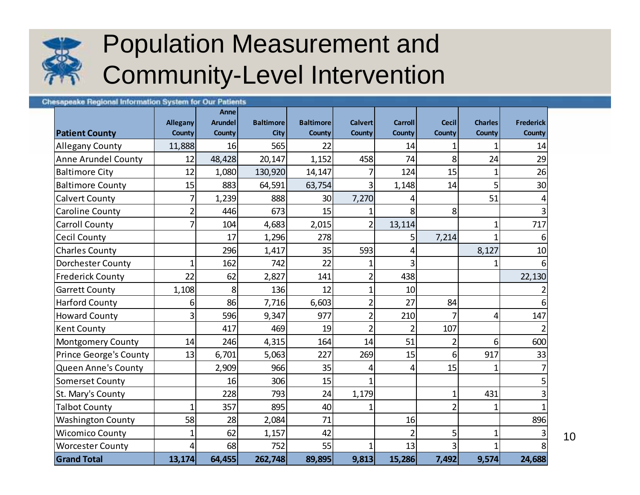

## Population Measurement and Community-Level Intervention

#### **Chesapeake Regional Information System for Our Patients Anne Allegany Arundel Baltimore Baltimore Calvert Carroll Cecil Charles Frederick Patient County County County City County County County County County County** Allegany County | 11,888 16 565 22 1 14 14 1 1 14 Anne Arundel County | 12 48,428 20,147 1,152 458 74 8 24 29 8altimore City 12| 1,080| 130,920| 14,147| 7| 124| 15| 1| 26 Baltimore County 15 883 64,591 63,754 3 1,148 14 5 30 Calvert County 7 1,239 888 30 7,270 4 51 4 3Caroline Count y | 2| 446| 673| 15| 1| 8| 8 Carroll County | 7| 104| 4,683| 2,015| 2| 13,114| | 1| 717 Cecil County | | 17 | 1,296 | 278 | | 5 | 7,214 | 1 | 6 Charles County 296 1,417 35 593 4 8,127 10 |Dorchester County | 1 162 742 22 1 3 1 1 6 Frederick County | 22 62 2,827 141 2438 | 22,130 Garrett County (a. 1,108 8 136 12 12 1 10 2Harford County 1 6 86 7,716 6,603 2 27 84 6Howard County 3 596 9,347 977 2 210 7 4 147 Kent County (and the sense of the 417 and 469 in 101 and 102 and 107 and 107 and 107 and 107 and 107 and 107 and 107 and 107 and 107 and 107 and 107 and 107 and 107 and 107 and 108 and 108 and 108 and 108 and 108 and 108 a 2Montgomery County | 14 246 4,315 164 164 14 51 26 600 Prince George's County | 13 6,701 5,063 227 269 15 6 917 33 | Queen Anne's County | | 2,909| 966| 35| 4| 4| 15| 1| 7 Somerset County | | 16 306 15 1 | | 5 St. Mary's County 1 1 228 793 24 1,179 1 1 431 3 Talbot County (and the 1 357 895 40 1 1 2 1 1 1 | Washington County | 58 28 2,084 71 16 58 Wicomico County  $\begin{vmatrix} 1 & 1 & 62 & 1,157 & 42 & 1 & 2 & 5 & 1 & 3 \end{vmatrix}$ |Worcester County | 4 68 752 55 1 13 3 1 3 **Grand Total13,174 64,455 262,748 89,895 9,813 15,286 7,492 9,574 24,688**

10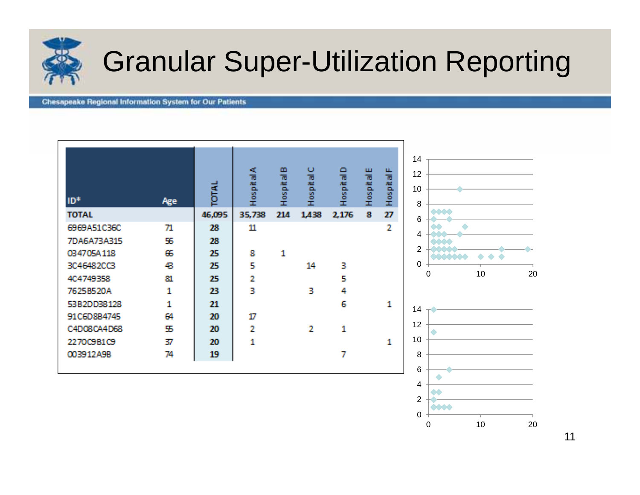

# Granular Super-Utilization Reporting

2 

10 2

#### **Chesapeake Regional Information System for Our Patients**

| ID*          | Age | TOTAL  | <b>A</b><br>Text as T | m<br>$\overline{\mathfrak{m}}$<br>ita<br>Social | O<br>Hospital | $\Box$<br>Hospital | Ш<br>市 だいさい | LL.<br>$\overline{\mathfrak{m}}$<br>륍<br>$\frac{10}{10}$<br>Œ. | 14<br>12<br>10<br>8            |
|--------------|-----|--------|-----------------------|-------------------------------------------------|---------------|--------------------|-------------|----------------------------------------------------------------|--------------------------------|
| <b>TOTAL</b> |     | 46,095 | 35,738                | 214                                             | 1,438         | 2,176              | 畧           | 27                                                             | <b>0001</b><br>6               |
| 6969A51C36C  | 71  | 28     | 11                    |                                                 |               |                    |             | 2                                                              |                                |
| 7DA6A73A315  | 55  | 28     |                       |                                                 |               |                    |             |                                                                | 4<br>$\triangle$               |
| 034705A118   | 65  | 25     | 8                     | 1                                               |               |                    |             |                                                                | $\overline{2}$<br><b>AAAAA</b> |
| 3C46482CC3   | 43  | 25     | 5                     |                                                 | 14            | 31                 |             |                                                                | 0                              |
| 4C4749358    | 81  | 25     | 2                     |                                                 |               | 5                  |             |                                                                | 10<br>20<br>$\Omega$           |
| 7625B520A    | 1   | 23     | 3                     |                                                 | 31            | 4                  |             |                                                                |                                |
| 53B2DD38128  | 1   | 21     |                       |                                                 |               | 6                  |             | $\mathbf{1}$                                                   | 14                             |
| 91C6D8B4745  | 64  | 20     | $\boldsymbol{\varPi}$ |                                                 |               |                    |             |                                                                |                                |
| C4D08CA4D68  | 55  | 20.    | 2                     |                                                 | 2             | 1                  |             |                                                                | 12                             |
| 2270C9B1C9   | 37  | 20     | 1                     |                                                 |               |                    |             | 1                                                              | 10                             |
| 003912A9B    | 74  | 19     |                       |                                                 |               | 7                  |             |                                                                | 8                              |
|              |     |        |                       |                                                 |               |                    |             |                                                                | 6                              |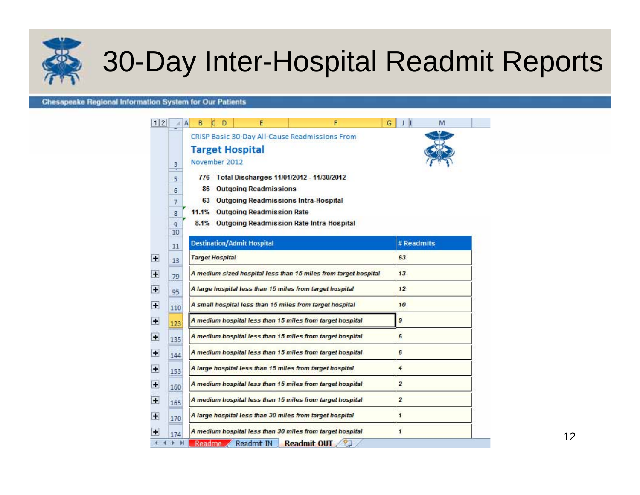

# 30-Day Inter-Hospital Readmit Reports

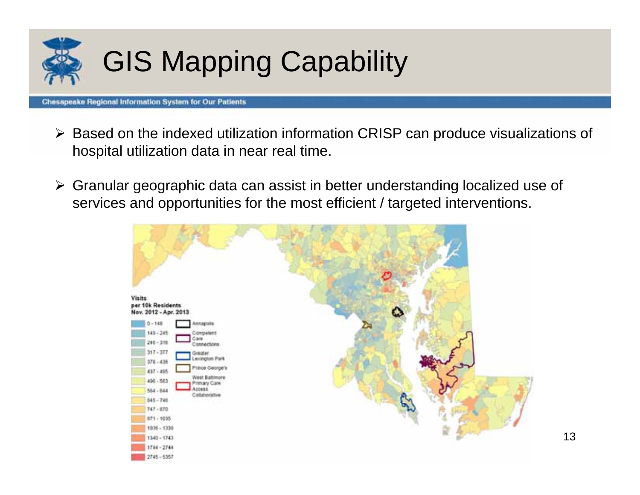

# GIS Mapping Capability

- $\blacktriangleright$  Based on the indexed utilization information CRISP can produce visualizations of hospital utilization data in near real time.
- Granular geographic data can assist in better understanding localized use of services and opportunities for the most efficient / targeted interventions.

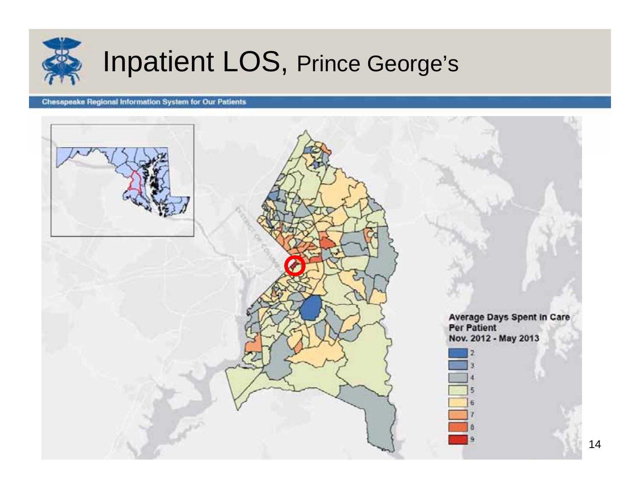

# Inpatient LOS, Prince George's

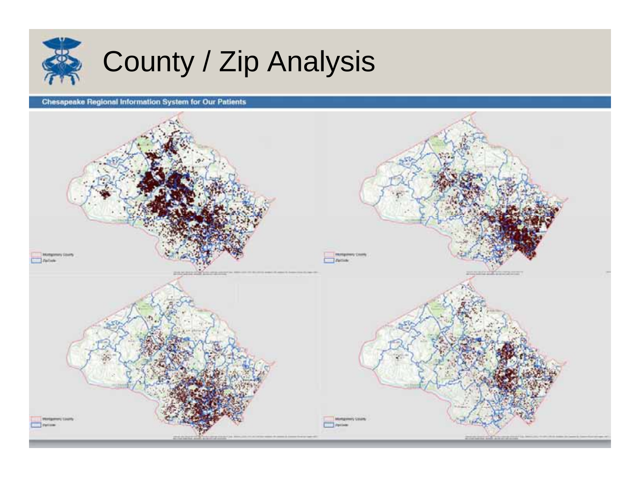

# County / Zip Analysis

**Chesapeake Regional Information System for Our Patients**